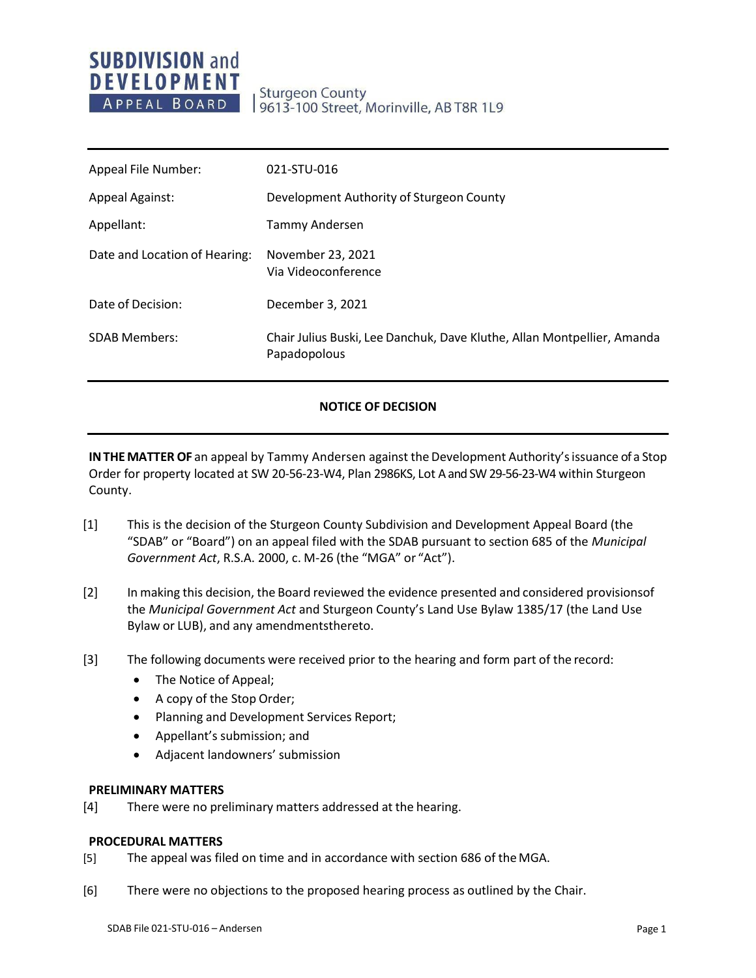# **SUBDIVISION and DEVELOPMENT** APPEAL BOARD

**Sturgeon County** 9613-100 Street, Morinville, AB T8R 1L9

| Appeal File Number:           | 021-STU-016                                                                             |
|-------------------------------|-----------------------------------------------------------------------------------------|
| <b>Appeal Against:</b>        | Development Authority of Sturgeon County                                                |
| Appellant:                    | Tammy Andersen                                                                          |
| Date and Location of Hearing: | November 23, 2021<br>Via Videoconference                                                |
| Date of Decision:             | December 3, 2021                                                                        |
| <b>SDAB Members:</b>          | Chair Julius Buski, Lee Danchuk, Dave Kluthe, Allan Montpellier, Amanda<br>Papadopolous |

### **NOTICE OF DECISION**

**IN THE MATTER OF** an appeal by Tammy Andersen against the Development Authority's issuance of a Stop Order for property located at SW 20-56-23-W4, Plan 2986KS, Lot Aand SW 29-56-23-W4 within Sturgeon County.

- [1] This is the decision of the Sturgeon County Subdivision and Development Appeal Board (the "SDAB" or "Board") on an appeal filed with the SDAB pursuant to section 685 of the *Municipal Government Act*, R.S.A. 2000, c. M-26 (the "MGA" or "Act").
- [2] In making this decision, the Board reviewed the evidence presented and considered provisionsof the *Municipal Government Act* and Sturgeon County's Land Use Bylaw 1385/17 (the Land Use Bylaw or LUB), and any amendmentsthereto.
- [3] The following documents were received prior to the hearing and form part of the record:
	- The Notice of Appeal;
	- A copy of the Stop Order;
	- Planning and Development Services Report;
	- Appellant's submission; and
	- Adjacent landowners' submission

#### **PRELIMINARY MATTERS**

[4] There were no preliminary matters addressed at the hearing.

#### **PROCEDURAL MATTERS**

- [5] The appeal was filed on time and in accordance with section 686 of theMGA.
- [6] There were no objections to the proposed hearing process as outlined by the Chair.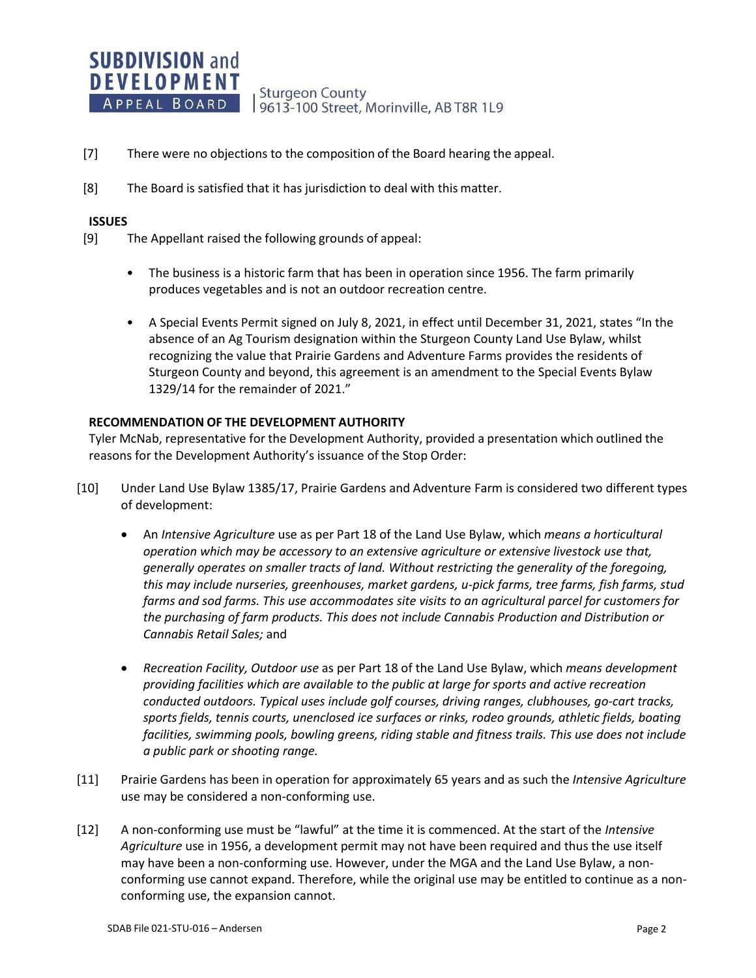

- [7] There were no objections to the composition of the Board hearing the appeal.
- [8] The Board is satisfied that it has jurisdiction to deal with this matter.

#### **ISSUES**

- [9] The Appellant raised the following grounds of appeal:
	- The business is a historic farm that has been in operation since 1956. The farm primarily produces vegetables and is not an outdoor recreation centre.
	- A Special Events Permit signed on July 8, 2021, in effect until December 31, 2021, states "In the absence of an Ag Tourism designation within the Sturgeon County Land Use Bylaw, whilst recognizing the value that Prairie Gardens and Adventure Farms provides the residents of Sturgeon County and beyond, this agreement is an amendment to the Special Events Bylaw 1329/14 for the remainder of 2021."

#### **RECOMMENDATION OF THE DEVELOPMENT AUTHORITY**

Tyler McNab, representative for the Development Authority, provided a presentation which outlined the reasons for the Development Authority's issuance of the Stop Order:

- [10] Under Land Use Bylaw 1385/17, Prairie Gardens and Adventure Farm is considered two different types of development:
	- An *Intensive Agriculture* use as per Part 18 of the Land Use Bylaw, which *means a horticultural operation which may be accessory to an extensive agriculture or extensive livestock use that, generally operates on smaller tracts of land. Without restricting the generality of the foregoing, this may include nurseries, greenhouses, market gardens, u-pick farms, tree farms, fish farms, stud farms and sod farms. This use accommodates site visits to an agricultural parcel for customers for the purchasing of farm products. This does not include Cannabis Production and Distribution or Cannabis Retail Sales;* and
	- *Recreation Facility, Outdoor use* as per Part 18 of the Land Use Bylaw, which *means development providing facilities which are available to the public at large for sports and active recreation conducted outdoors. Typical uses include golf courses, driving ranges, clubhouses, go-cart tracks, sports fields, tennis courts, unenclosed ice surfaces or rinks, rodeo grounds, athletic fields, boating facilities, swimming pools, bowling greens, riding stable and fitness trails. This use does not include a public park or shooting range.*
- [11] Prairie Gardens has been in operation for approximately 65 years and as such the *Intensive Agriculture* use may be considered a non-conforming use.
- [12] A non-conforming use must be "lawful" at the time it is commenced. At the start of the *Intensive Agriculture* use in 1956, a development permit may not have been required and thus the use itself may have been a non-conforming use. However, under the MGA and the Land Use Bylaw, a nonconforming use cannot expand. Therefore, while the original use may be entitled to continue as a nonconforming use, the expansion cannot.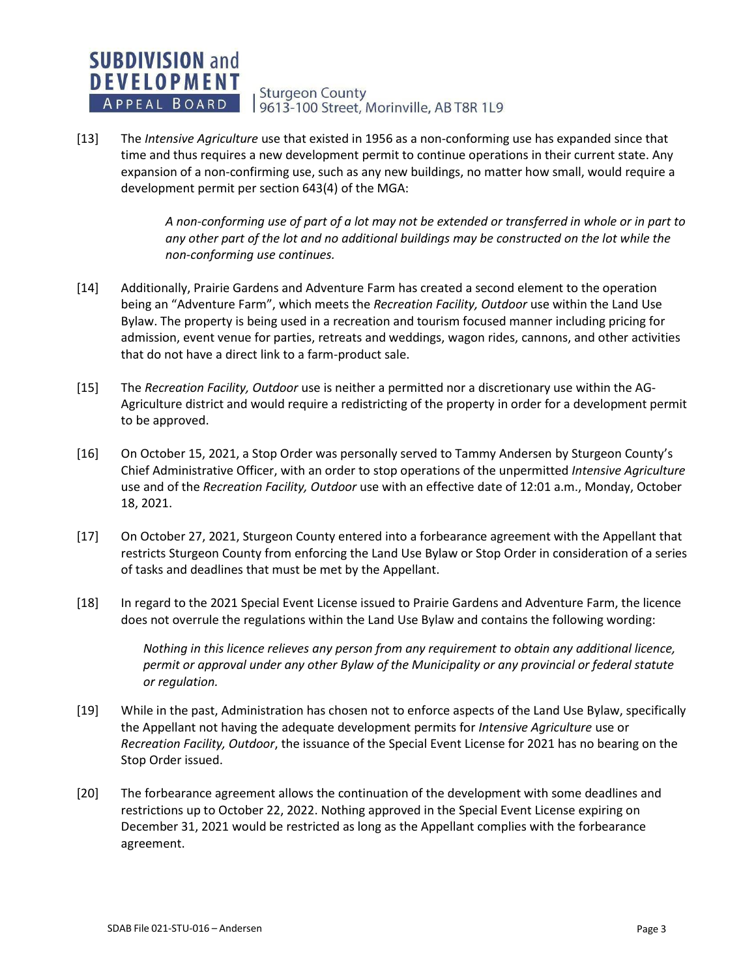**DEVELOPMENT Sturgeon County** APPEAL BOARD 9613-100 Street, Morinville, AB T8R 1L9

[13] The *Intensive Agriculture* use that existed in 1956 as a non-conforming use has expanded since that time and thus requires a new development permit to continue operations in their current state. Any expansion of a non-confirming use, such as any new buildings, no matter how small, would require a development permit per section 643(4) of the MGA:

> *A non-conforming use of part of a lot may not be extended or transferred in whole or in part to*  any other part of the lot and no additional buildings may be constructed on the lot while the *non-conforming use continues.*

- [14] Additionally, Prairie Gardens and Adventure Farm has created a second element to the operation being an "Adventure Farm", which meets the *Recreation Facility, Outdoor* use within the Land Use Bylaw. The property is being used in a recreation and tourism focused manner including pricing for admission, event venue for parties, retreats and weddings, wagon rides, cannons, and other activities that do not have a direct link to a farm-product sale.
- [15] The *Recreation Facility, Outdoor* use is neither a permitted nor a discretionary use within the AG-Agriculture district and would require a redistricting of the property in order for a development permit to be approved.
- [16] On October 15, 2021, a Stop Order was personally served to Tammy Andersen by Sturgeon County's Chief Administrative Officer, with an order to stop operations of the unpermitted *Intensive Agriculture*  use and of the *Recreation Facility, Outdoor* use with an effective date of 12:01 a.m., Monday, October 18, 2021.
- [17] On October 27, 2021, Sturgeon County entered into a forbearance agreement with the Appellant that restricts Sturgeon County from enforcing the Land Use Bylaw or Stop Order in consideration of a series of tasks and deadlines that must be met by the Appellant.
- [18] In regard to the 2021 Special Event License issued to Prairie Gardens and Adventure Farm, the licence does not overrule the regulations within the Land Use Bylaw and contains the following wording:

*Nothing in this licence relieves any person from any requirement to obtain any additional licence, permit or approval under any other Bylaw of the Municipality or any provincial or federal statute or regulation.*

- [19] While in the past, Administration has chosen not to enforce aspects of the Land Use Bylaw, specifically the Appellant not having the adequate development permits for *Intensive Agriculture* use or *Recreation Facility, Outdoor*, the issuance of the Special Event License for 2021 has no bearing on the Stop Order issued.
- [20] The forbearance agreement allows the continuation of the development with some deadlines and restrictions up to October 22, 2022. Nothing approved in the Special Event License expiring on December 31, 2021 would be restricted as long as the Appellant complies with the forbearance agreement.

**SUBDIVISION and**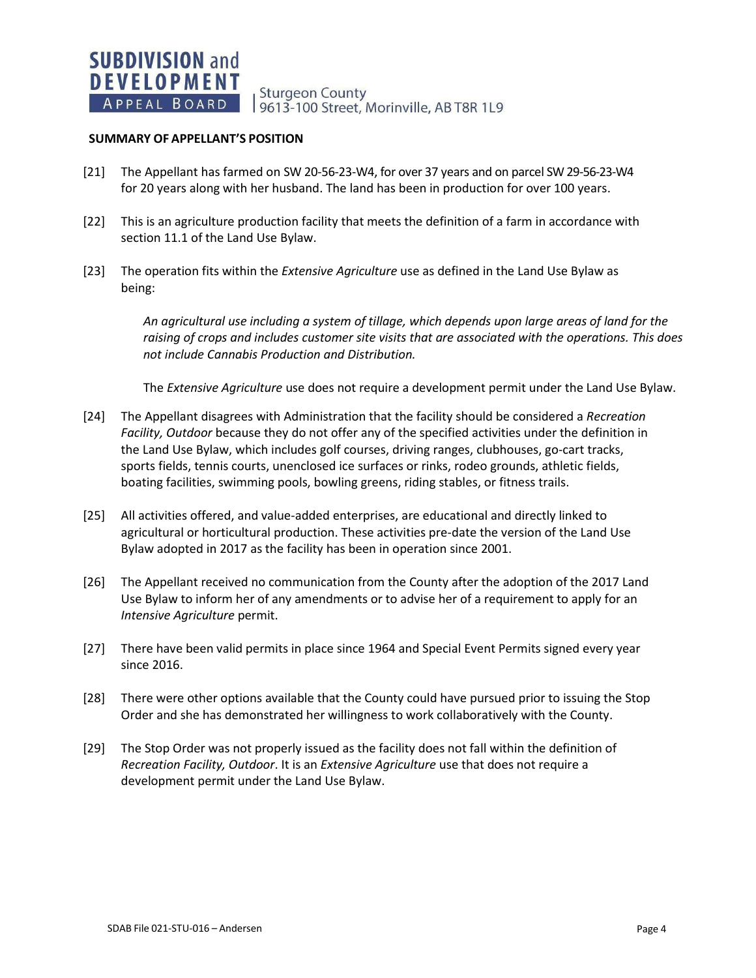**Sturgeon County** 9613-100 Street, Morinville, AB T8R 1L9

#### **SUMMARY OF APPELLANT'S POSITION**

- [21] The Appellant has farmed on SW 20-56-23-W4, for over 37 years and on parcel SW 29-56-23-W4 for 20 years along with her husband. The land has been in production for over 100 years.
- [22] This is an agriculture production facility that meets the definition of a farm in accordance with section 11.1 of the Land Use Bylaw.
- [23] The operation fits within the *Extensive Agriculture* use as defined in the Land Use Bylaw as being:

*An agricultural use including a system of tillage, which depends upon large areas of land for the raising of crops and includes customer site visits that are associated with the operations. This does not include Cannabis Production and Distribution.*

The *Extensive Agriculture* use does not require a development permit under the Land Use Bylaw.

- [24] The Appellant disagrees with Administration that the facility should be considered a *Recreation Facility, Outdoor* because they do not offer any of the specified activities under the definition in the Land Use Bylaw, which includes golf courses, driving ranges, clubhouses, go-cart tracks, sports fields, tennis courts, unenclosed ice surfaces or rinks, rodeo grounds, athletic fields, boating facilities, swimming pools, bowling greens, riding stables, or fitness trails.
- [25] All activities offered, and value-added enterprises, are educational and directly linked to agricultural or horticultural production. These activities pre-date the version of the Land Use Bylaw adopted in 2017 as the facility has been in operation since 2001.
- [26] The Appellant received no communication from the County after the adoption of the 2017 Land Use Bylaw to inform her of any amendments or to advise her of a requirement to apply for an *Intensive Agriculture* permit.
- [27] There have been valid permits in place since 1964 and Special Event Permits signed every year since 2016.
- [28] There were other options available that the County could have pursued prior to issuing the Stop Order and she has demonstrated her willingness to work collaboratively with the County.
- [29] The Stop Order was not properly issued as the facility does not fall within the definition of *Recreation Facility, Outdoor*. It is an *Extensive Agriculture* use that does not require a development permit under the Land Use Bylaw.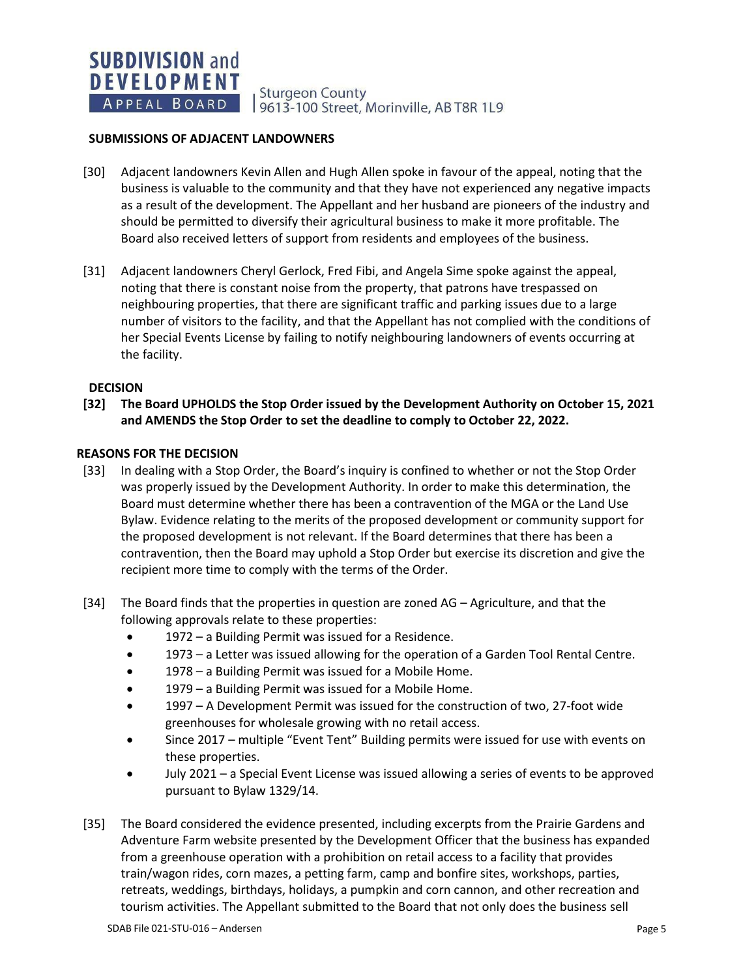**Sturgeon County** 9613-100 Street, Morinville, AB T8R 1L9

#### **SUBMISSIONS OF ADJACENT LANDOWNERS**

- [30] Adjacent landowners Kevin Allen and Hugh Allen spoke in favour of the appeal, noting that the business is valuable to the community and that they have not experienced any negative impacts as a result of the development. The Appellant and her husband are pioneers of the industry and should be permitted to diversify their agricultural business to make it more profitable. The Board also received letters of support from residents and employees of the business.
- [31] Adjacent landowners Cheryl Gerlock, Fred Fibi, and Angela Sime spoke against the appeal, noting that there is constant noise from the property, that patrons have trespassed on neighbouring properties, that there are significant traffic and parking issues due to a large number of visitors to the facility, and that the Appellant has not complied with the conditions of her Special Events License by failing to notify neighbouring landowners of events occurring at the facility.

#### **DECISION**

**[32] The Board UPHOLDS the Stop Order issued by the Development Authority on October 15, 2021 and AMENDS the Stop Order to set the deadline to comply to October 22, 2022.**

#### **REASONS FOR THE DECISION**

- [33] In dealing with a Stop Order, the Board's inquiry is confined to whether or not the Stop Order was properly issued by the Development Authority. In order to make this determination, the Board must determine whether there has been a contravention of the MGA or the Land Use Bylaw. Evidence relating to the merits of the proposed development or community support for the proposed development is not relevant. If the Board determines that there has been a contravention, then the Board may uphold a Stop Order but exercise its discretion and give the recipient more time to comply with the terms of the Order.
- [34] The Board finds that the properties in question are zoned AG Agriculture, and that the following approvals relate to these properties:
	- 1972 a Building Permit was issued for a Residence.
	- 1973 a Letter was issued allowing for the operation of a Garden Tool Rental Centre.
	- 1978 a Building Permit was issued for a Mobile Home.
	- 1979 a Building Permit was issued for a Mobile Home.
	- 1997 A Development Permit was issued for the construction of two, 27-foot wide greenhouses for wholesale growing with no retail access.
	- Since 2017 multiple "Event Tent" Building permits were issued for use with events on these properties.
	- July 2021 a Special Event License was issued allowing a series of events to be approved pursuant to Bylaw 1329/14.
- [35] The Board considered the evidence presented, including excerpts from the Prairie Gardens and Adventure Farm website presented by the Development Officer that the business has expanded from a greenhouse operation with a prohibition on retail access to a facility that provides train/wagon rides, corn mazes, a petting farm, camp and bonfire sites, workshops, parties, retreats, weddings, birthdays, holidays, a pumpkin and corn cannon, and other recreation and tourism activities. The Appellant submitted to the Board that not only does the business sell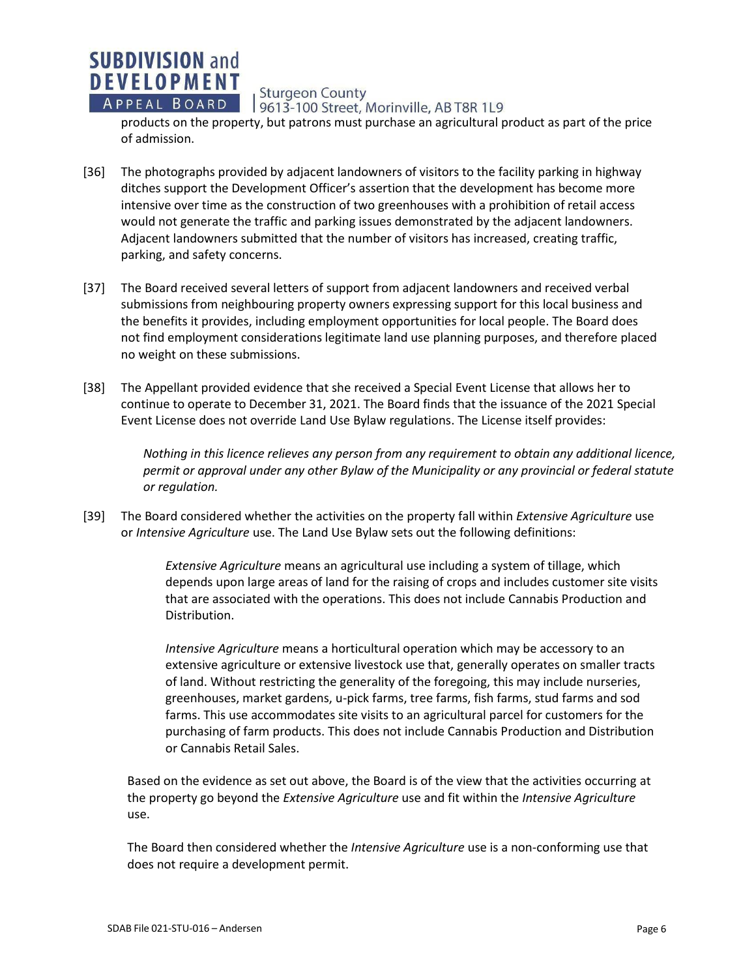

**SUBDIVISION and DEVELOPMENT** 

9613-100 Street, Morinville, AB T8R 1L9

products on the property, but patrons must purchase an agricultural product as part of the price of admission.

- [36] The photographs provided by adjacent landowners of visitors to the facility parking in highway ditches support the Development Officer's assertion that the development has become more intensive over time as the construction of two greenhouses with a prohibition of retail access would not generate the traffic and parking issues demonstrated by the adjacent landowners. Adjacent landowners submitted that the number of visitors has increased, creating traffic, parking, and safety concerns.
- [37] The Board received several letters of support from adjacent landowners and received verbal submissions from neighbouring property owners expressing support for this local business and the benefits it provides, including employment opportunities for local people. The Board does not find employment considerations legitimate land use planning purposes, and therefore placed no weight on these submissions.
- [38] The Appellant provided evidence that she received a Special Event License that allows her to continue to operate to December 31, 2021. The Board finds that the issuance of the 2021 Special Event License does not override Land Use Bylaw regulations. The License itself provides:

*Nothing in this licence relieves any person from any requirement to obtain any additional licence, permit or approval under any other Bylaw of the Municipality or any provincial or federal statute or regulation.*

[39] The Board considered whether the activities on the property fall within *Extensive Agriculture* use or *Intensive Agriculture* use. The Land Use Bylaw sets out the following definitions:

> *Extensive Agriculture* means an agricultural use including a system of tillage, which depends upon large areas of land for the raising of crops and includes customer site visits that are associated with the operations. This does not include Cannabis Production and Distribution.

> *Intensive Agriculture* means a horticultural operation which may be accessory to an extensive agriculture or extensive livestock use that, generally operates on smaller tracts of land. Without restricting the generality of the foregoing, this may include nurseries, greenhouses, market gardens, u-pick farms, tree farms, fish farms, stud farms and sod farms. This use accommodates site visits to an agricultural parcel for customers for the purchasing of farm products. This does not include Cannabis Production and Distribution or Cannabis Retail Sales.

Based on the evidence as set out above, the Board is of the view that the activities occurring at the property go beyond the *Extensive Agriculture* use and fit within the *Intensive Agriculture*  use.

The Board then considered whether the *Intensive Agriculture* use is a non-conforming use that does not require a development permit.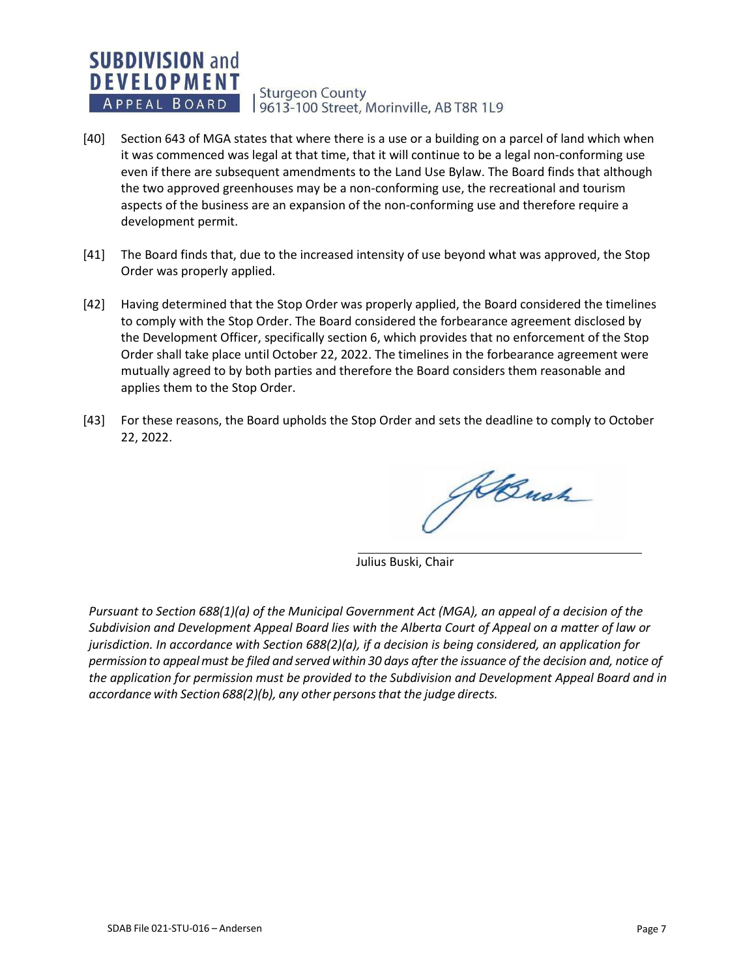#### **SUBDIVISION and DEVELOPMENT Sturgeon County** APPEAL BOARD 9613-100 Street, Morinville, AB T8R 1L9

- [40] Section 643 of MGA states that where there is a use or a building on a parcel of land which when it was commenced was legal at that time, that it will continue to be a legal non-conforming use even if there are subsequent amendments to the Land Use Bylaw. The Board finds that although the two approved greenhouses may be a non-conforming use, the recreational and tourism aspects of the business are an expansion of the non-conforming use and therefore require a development permit.
- [41] The Board finds that, due to the increased intensity of use beyond what was approved, the Stop Order was properly applied.
- [42] Having determined that the Stop Order was properly applied, the Board considered the timelines to comply with the Stop Order. The Board considered the forbearance agreement disclosed by the Development Officer, specifically section 6, which provides that no enforcement of the Stop Order shall take place until October 22, 2022. The timelines in the forbearance agreement were mutually agreed to by both parties and therefore the Board considers them reasonable and applies them to the Stop Order.
- [43] For these reasons, the Board upholds the Stop Order and sets the deadline to comply to October 22, 2022.

KBush

Julius Buski, Chair

*Pursuant to Section 688(1)(a) of the Municipal Government Act (MGA), an appeal of a decision of the Subdivision and Development Appeal Board lies with the Alberta Court of Appeal on a matter of law or jurisdiction. In accordance with Section 688(2)(a), if a decision is being considered, an application for* permission to appeal must be filed and served within 30 days after the issuance of the decision and, notice of *the application for permission must be provided to the Subdivision and Development Appeal Board and in accordance with Section 688(2)(b), any other personsthat the judge directs.*